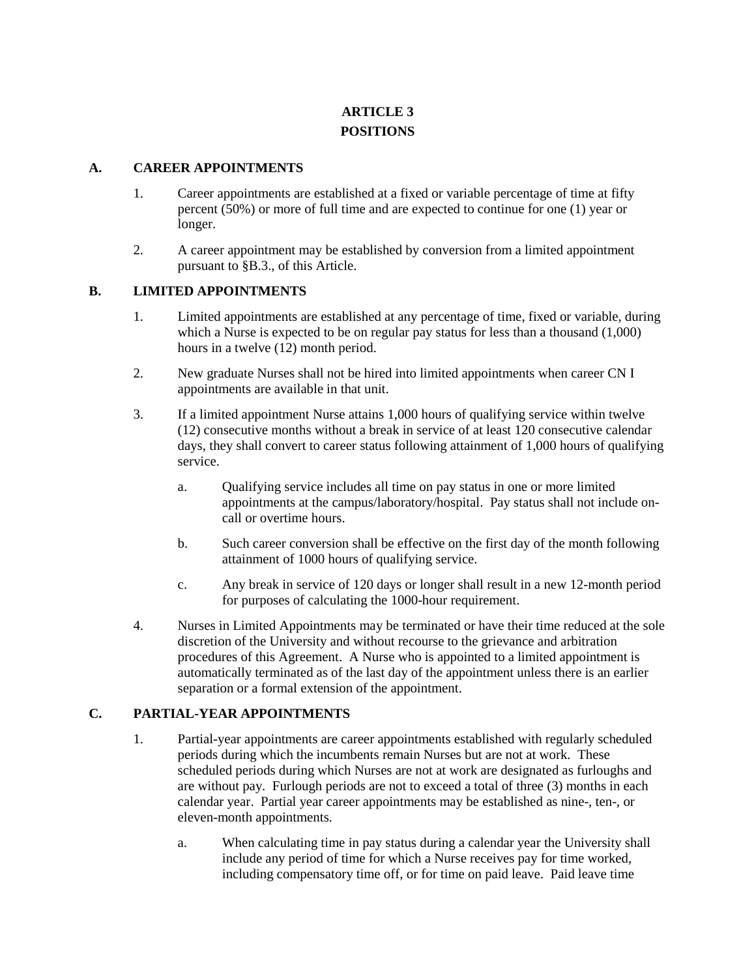# **ARTICLE 3 POSITIONS**

#### **A. CAREER APPOINTMENTS**

- 1. Career appointments are established at a fixed or variable percentage of time at fifty percent (50%) or more of full time and are expected to continue for one (1) year or longer.
- 2. A career appointment may be established by conversion from a limited appointment pursuant to §B.3., of this Article.

## **B. LIMITED APPOINTMENTS**

- 1. Limited appointments are established at any percentage of time, fixed or variable, during which a Nurse is expected to be on regular pay status for less than a thousand  $(1,000)$ hours in a twelve  $(12)$  month period.
- 2. New graduate Nurses shall not be hired into limited appointments when career CN I appointments are available in that unit.
- 3. If a limited appointment Nurse attains 1,000 hours of qualifying service within twelve (12) consecutive months without a break in service of at least 120 consecutive calendar days, they shall convert to career status following attainment of 1,000 hours of qualifying service.
	- a. Qualifying service includes all time on pay status in one or more limited appointments at the campus/laboratory/hospital. Pay status shall not include oncall or overtime hours.
	- b. Such career conversion shall be effective on the first day of the month following attainment of 1000 hours of qualifying service.
	- c. Any break in service of 120 days or longer shall result in a new 12-month period for purposes of calculating the 1000-hour requirement.
- 4. Nurses in Limited Appointments may be terminated or have their time reduced at the sole discretion of the University and without recourse to the grievance and arbitration procedures of this Agreement. A Nurse who is appointed to a limited appointment is automatically terminated as of the last day of the appointment unless there is an earlier separation or a formal extension of the appointment.

# **C. PARTIAL-YEAR APPOINTMENTS**

- 1. Partial-year appointments are career appointments established with regularly scheduled periods during which the incumbents remain Nurses but are not at work. These scheduled periods during which Nurses are not at work are designated as furloughs and are without pay. Furlough periods are not to exceed a total of three (3) months in each calendar year. Partial year career appointments may be established as nine-, ten-, or eleven-month appointments.
	- a. When calculating time in pay status during a calendar year the University shall include any period of time for which a Nurse receives pay for time worked, including compensatory time off, or for time on paid leave. Paid leave time